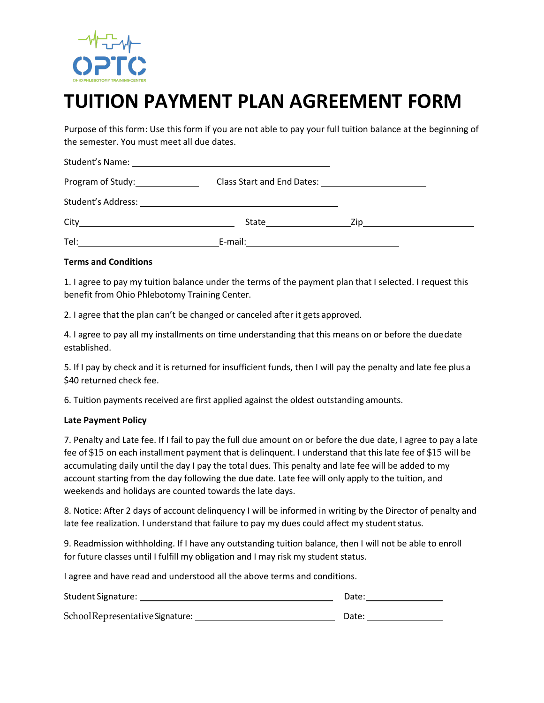

## **TUITION PAYMENT PLAN AGREEMENT FORM**

Purpose of this form: Use this form if you are not able to pay your full tuition balance at the beginning of the semester. You must meet all due dates.

| Program of Study: 1997 |                                                                                            |      |  |
|------------------------|--------------------------------------------------------------------------------------------|------|--|
|                        |                                                                                            |      |  |
|                        | State <u>_________</u>                                                                     | Zip. |  |
| Tel:                   | E-mail:<br>the contract of the contract of the contract of the contract of the contract of |      |  |

## **Terms and Conditions**

1. I agree to pay my tuition balance under the terms of the payment plan that I selected. I request this benefit from Ohio Phlebotomy Training Center.

2. I agree that the plan can't be changed or canceled after it gets approved.

4. I agree to pay all my installments on time understanding that this means on or before the duedate established.

5. If I pay by check and it is returned for insufficient funds, then I will pay the penalty and late fee plusa \$40 returned check fee.

6. Tuition payments received are first applied against the oldest outstanding amounts.

## **Late Payment Policy**

7. Penalty and Late fee. If I fail to pay the full due amount on or before the due date, I agree to pay a late fee of \$15 on each installment payment that is delinquent. I understand that this late fee of \$15 will be accumulating daily until the day I pay the total dues. This penalty and late fee will be added to my account starting from the day following the due date. Late fee will only apply to the tuition, and weekends and holidays are counted towards the late days.

8. Notice: After 2 days of account delinquency I will be informed in writing by the Director of penalty and late fee realization. I understand that failure to pay my dues could affect my student status.

9. Readmission withholding. If I have any outstanding tuition balance, then I will not be able to enroll for future classes until I fulfill my obligation and I may risk my student status.

I agree and have read and understood all the above terms and conditions.

| <b>Student Signature:</b>        | Date: |
|----------------------------------|-------|
| School Representative Signature: | Date: |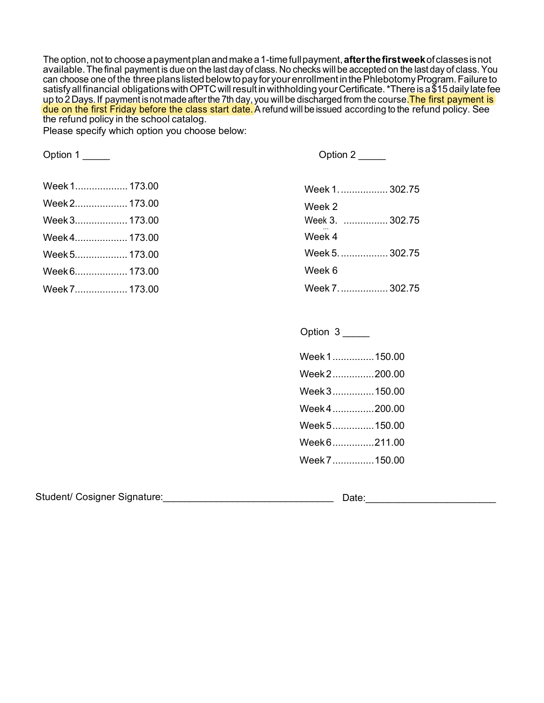The option, not to choosea paymentplanandmakea 1-timefullpayment,**afterthefirstweek**ofclasses isnot available.Thefinal payment is due on the last day of class. No checks will be accepted on the last day of class. You can choose one of the three plans listed below to pay for your enrollment in the Phlebotomy Program. Failure to satisfy all financial obligations with OPTC will result in withholding your Certificate. \*Ther<u>e is a \$15 daily late fe</u>e up to 2 Days. If payment is not made after the 7th day, you will be discharged from the course.<mark>The first payment is</mark> due on the first Friday before the class start date. A refund will be issued according to the refund policy. See the refund policy in the school catalog.

Please specify which option you choose below:

| Option 1      | Option 2        |  |
|---------------|-----------------|--|
| Week 1 173.00 | Week 1 302.75   |  |
| Week 2 173.00 | Week 2          |  |
| Week 3 173.00 | Week 3.  302.75 |  |
| Week4 173.00  | Week 4          |  |
| Week 5 173.00 | Week 5.  302.75 |  |
| Week 6 173.00 | Week 6          |  |
| Week 7 173.00 | Week 7.  302.75 |  |
|               |                 |  |
|               |                 |  |

| Week 1150.00   |  |
|----------------|--|
| Week 2200.00   |  |
| Week 3  150.00 |  |
| Week 4200.00   |  |
| Week 5 150.00  |  |
| Week 6211.00   |  |
| Week 7  150.00 |  |
|                |  |

Option 3 \_\_\_\_\_

<span id="page-1-1"></span><span id="page-1-0"></span>Student/ Cosigner Signature:\_\_\_\_\_\_\_\_\_\_\_\_\_\_\_\_\_\_\_\_\_\_\_\_\_\_\_\_\_\_\_\_ Date:\_\_\_\_\_\_\_\_\_\_\_\_\_\_\_\_\_\_\_\_\_\_\_\_